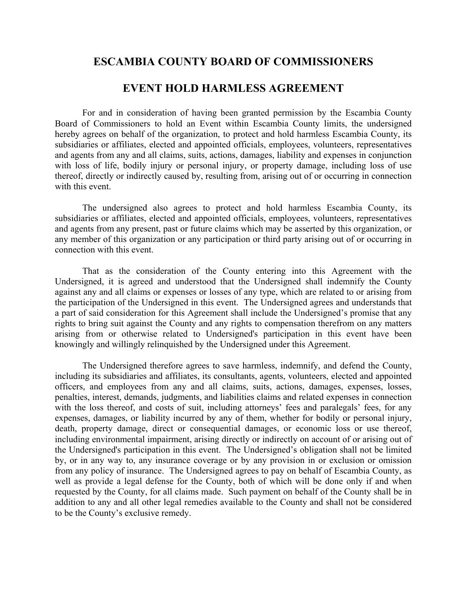## **ESCAMBIA COUNTY BOARD OF COMMISSIONERS**

## **EVENT HOLD HARMLESS AGREEMENT**

For and in consideration of having been granted permission by the Escambia County Board of Commissioners to hold an Event within Escambia County limits, the undersigned hereby agrees on behalf of the organization, to protect and hold harmless Escambia County, its subsidiaries or affiliates, elected and appointed officials, employees, volunteers, representatives and agents from any and all claims, suits, actions, damages, liability and expenses in conjunction with loss of life, bodily injury or personal injury, or property damage, including loss of use thereof, directly or indirectly caused by, resulting from, arising out of or occurring in connection with this event.

 The undersigned also agrees to protect and hold harmless Escambia County, its subsidiaries or affiliates, elected and appointed officials, employees, volunteers, representatives and agents from any present, past or future claims which may be asserted by this organization, or any member of this organization or any participation or third party arising out of or occurring in connection with this event.

 That as the consideration of the County entering into this Agreement with the Undersigned, it is agreed and understood that the Undersigned shall indemnify the County against any and all claims or expenses or losses of any type, which are related to or arising from the participation of the Undersigned in this event. The Undersigned agrees and understands that a part of said consideration for this Agreement shall include the Undersigned's promise that any rights to bring suit against the County and any rights to compensation therefrom on any matters arising from or otherwise related to Undersigned's participation in this event have been knowingly and willingly relinquished by the Undersigned under this Agreement.

 The Undersigned therefore agrees to save harmless, indemnify, and defend the County, including its subsidiaries and affiliates, its consultants, agents, volunteers, elected and appointed officers, and employees from any and all claims, suits, actions, damages, expenses, losses, penalties, interest, demands, judgments, and liabilities claims and related expenses in connection with the loss thereof, and costs of suit, including attorneys' fees and paralegals' fees, for any expenses, damages, or liability incurred by any of them, whether for bodily or personal injury, death, property damage, direct or consequential damages, or economic loss or use thereof, including environmental impairment, arising directly or indirectly on account of or arising out of the Undersigned's participation in this event. The Undersigned's obligation shall not be limited by, or in any way to, any insurance coverage or by any provision in or exclusion or omission from any policy of insurance. The Undersigned agrees to pay on behalf of Escambia County, as well as provide a legal defense for the County, both of which will be done only if and when requested by the County, for all claims made. Such payment on behalf of the County shall be in addition to any and all other legal remedies available to the County and shall not be considered to be the County's exclusive remedy.